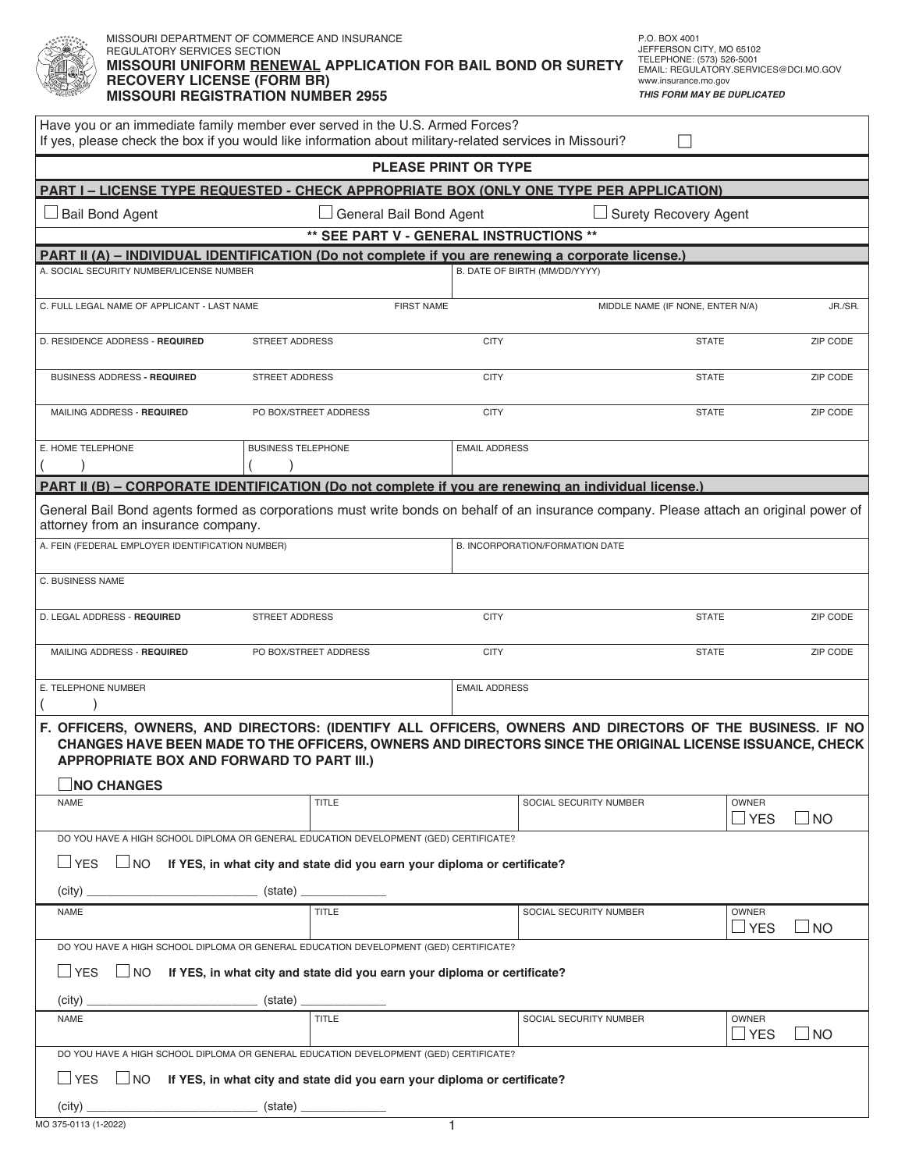|                                                                                         | MISSOURI DEPARTMENT OF COMMERCE AND INSURANCE<br>REGULATORY SERVICES SECTION<br><b>MISSOURI UNIFORM RENEWAL APPLICATION FOR BAIL BOND OR SURETY</b><br><b>RECOVERY LICENSE (FORM BR)</b><br><b>MISSOURI REGISTRATION NUMBER 2955</b> |                                                                                                                                                                                                                    |                                  |                 |  |  |  |  |  |
|-----------------------------------------------------------------------------------------|--------------------------------------------------------------------------------------------------------------------------------------------------------------------------------------------------------------------------------------|--------------------------------------------------------------------------------------------------------------------------------------------------------------------------------------------------------------------|----------------------------------|-----------------|--|--|--|--|--|
|                                                                                         | Have you or an immediate family member ever served in the U.S. Armed Forces?                                                                                                                                                         | If yes, please check the box if you would like information about military-related services in Missouri?                                                                                                            |                                  |                 |  |  |  |  |  |
| <b>PLEASE PRINT OR TYPE</b>                                                             |                                                                                                                                                                                                                                      |                                                                                                                                                                                                                    |                                  |                 |  |  |  |  |  |
| PART I - LICENSE TYPE REQUESTED - CHECK APPROPRIATE BOX (ONLY ONE TYPE PER APPLICATION) |                                                                                                                                                                                                                                      |                                                                                                                                                                                                                    |                                  |                 |  |  |  |  |  |
| <b>Bail Bond Agent</b>                                                                  |                                                                                                                                                                                                                                      | General Bail Bond Agent                                                                                                                                                                                            | Surety Recovery Agent            |                 |  |  |  |  |  |
| ** SEE PART V - GENERAL INSTRUCTIONS **                                                 |                                                                                                                                                                                                                                      |                                                                                                                                                                                                                    |                                  |                 |  |  |  |  |  |
| A. SOCIAL SECURITY NUMBER/LICENSE NUMBER                                                |                                                                                                                                                                                                                                      | PART II (A) – INDIVIDUAL IDENTIFICATION (Do not complete if you are renewing a corporate license.)<br>B. DATE OF BIRTH (MM/DD/YYYY)                                                                                |                                  |                 |  |  |  |  |  |
| C. FULL LEGAL NAME OF APPLICANT - LAST NAME                                             |                                                                                                                                                                                                                                      | <b>FIRST NAME</b>                                                                                                                                                                                                  | MIDDLE NAME (IF NONE, ENTER N/A) | JR./SR.         |  |  |  |  |  |
| D. RESIDENCE ADDRESS - REQUIRED                                                         | <b>STREET ADDRESS</b>                                                                                                                                                                                                                | <b>CITY</b>                                                                                                                                                                                                        | <b>STATE</b>                     | <b>ZIP CODE</b> |  |  |  |  |  |
| <b>BUSINESS ADDRESS - REQUIRED</b>                                                      | <b>STREET ADDRESS</b>                                                                                                                                                                                                                | <b>CITY</b>                                                                                                                                                                                                        | <b>STATE</b>                     | <b>ZIP CODE</b> |  |  |  |  |  |
| MAILING ADDRESS - REQUIRED                                                              | PO BOX/STREET ADDRESS                                                                                                                                                                                                                | <b>CITY</b>                                                                                                                                                                                                        | <b>STATE</b>                     | <b>ZIP CODE</b> |  |  |  |  |  |
| E. HOME TELEPHONE                                                                       | <b>BUSINESS TELEPHONE</b>                                                                                                                                                                                                            | <b>EMAIL ADDRESS</b>                                                                                                                                                                                               |                                  |                 |  |  |  |  |  |
|                                                                                         |                                                                                                                                                                                                                                      | PART II (B) - CORPORATE IDENTIFICATION (Do not complete if you are renewing an individual license.)                                                                                                                |                                  |                 |  |  |  |  |  |
| attorney from an insurance company.<br>A. FEIN (FEDERAL EMPLOYER IDENTIFICATION NUMBER) |                                                                                                                                                                                                                                      | General Bail Bond agents formed as corporations must write bonds on behalf of an insurance company. Please attach an original power of<br>B. INCORPORATION/FORMATION DATE                                          |                                  |                 |  |  |  |  |  |
|                                                                                         |                                                                                                                                                                                                                                      |                                                                                                                                                                                                                    |                                  |                 |  |  |  |  |  |
| C. BUSINESS NAME                                                                        |                                                                                                                                                                                                                                      |                                                                                                                                                                                                                    |                                  |                 |  |  |  |  |  |
| D. LEGAL ADDRESS - REQUIRED                                                             | <b>STREET ADDRESS</b>                                                                                                                                                                                                                | <b>CITY</b>                                                                                                                                                                                                        | <b>STATE</b>                     | <b>ZIP CODE</b> |  |  |  |  |  |
| MAILING ADDRESS - REQUIRED                                                              | PO BOX/STREET ADDRESS                                                                                                                                                                                                                | <b>CITY</b>                                                                                                                                                                                                        | <b>STATE</b>                     | <b>ZIP CODE</b> |  |  |  |  |  |
| E. TELEPHONE NUMBER<br>$\lambda$                                                        |                                                                                                                                                                                                                                      | <b>EMAIL ADDRESS</b>                                                                                                                                                                                               |                                  |                 |  |  |  |  |  |
| APPROPRIATE BOX AND FORWARD TO PART III.)                                               |                                                                                                                                                                                                                                      | F. OFFICERS, OWNERS, AND DIRECTORS: (IDENTIFY ALL OFFICERS, OWNERS AND DIRECTORS OF THE BUSINESS. IF NO<br>CHANGES HAVE BEEN MADE TO THE OFFICERS, OWNERS AND DIRECTORS SINCE THE ORIGINAL LICENSE ISSUANCE, CHECK |                                  |                 |  |  |  |  |  |
| $\Box$ NO CHANGES<br><b>NAME</b>                                                        | <b>TITLE</b>                                                                                                                                                                                                                         | SOCIAL SECURITY NUMBER                                                                                                                                                                                             | OWNER                            |                 |  |  |  |  |  |
|                                                                                         |                                                                                                                                                                                                                                      |                                                                                                                                                                                                                    | $\Box$ YES                       | $\Box$ No       |  |  |  |  |  |
|                                                                                         | DO YOU HAVE A HIGH SCHOOL DIPLOMA OR GENERAL EDUCATION DEVELOPMENT (GED) CERTIFICATE?                                                                                                                                                |                                                                                                                                                                                                                    |                                  |                 |  |  |  |  |  |
| $\Box$ YES<br>$\sqcup$ NO                                                               | If YES, in what city and state did you earn your diploma or certificate?                                                                                                                                                             |                                                                                                                                                                                                                    |                                  |                 |  |  |  |  |  |
| <b>NAME</b>                                                                             | <b>TITLE</b>                                                                                                                                                                                                                         | SOCIAL SECURITY NUMBER                                                                                                                                                                                             | OWNER                            |                 |  |  |  |  |  |
|                                                                                         |                                                                                                                                                                                                                                      |                                                                                                                                                                                                                    | $\sqcup$ YES                     | $\square$ NO    |  |  |  |  |  |
| $\Box$ YES<br>$\Box$ No                                                                 | DO YOU HAVE A HIGH SCHOOL DIPLOMA OR GENERAL EDUCATION DEVELOPMENT (GED) CERTIFICATE?<br>If YES, in what city and state did you earn your diploma or certificate?                                                                    |                                                                                                                                                                                                                    |                                  |                 |  |  |  |  |  |
| (city)                                                                                  |                                                                                                                                                                                                                                      |                                                                                                                                                                                                                    |                                  |                 |  |  |  |  |  |
| NAME                                                                                    | <b>TITLE</b>                                                                                                                                                                                                                         | SOCIAL SECURITY NUMBER                                                                                                                                                                                             | OWNER<br>$\Box$ YES              | $\Box$ NO       |  |  |  |  |  |
|                                                                                         | DO YOU HAVE A HIGH SCHOOL DIPLOMA OR GENERAL EDUCATION DEVELOPMENT (GED) CERTIFICATE?                                                                                                                                                |                                                                                                                                                                                                                    |                                  |                 |  |  |  |  |  |
| $\Box$ YES<br>$\Box$ NO                                                                 | If YES, in what city and state did you earn your diploma or certificate?                                                                                                                                                             |                                                                                                                                                                                                                    |                                  |                 |  |  |  |  |  |
|                                                                                         |                                                                                                                                                                                                                                      |                                                                                                                                                                                                                    |                                  |                 |  |  |  |  |  |
|                                                                                         |                                                                                                                                                                                                                                      |                                                                                                                                                                                                                    |                                  |                 |  |  |  |  |  |

 $\overline{\phantom{a}}$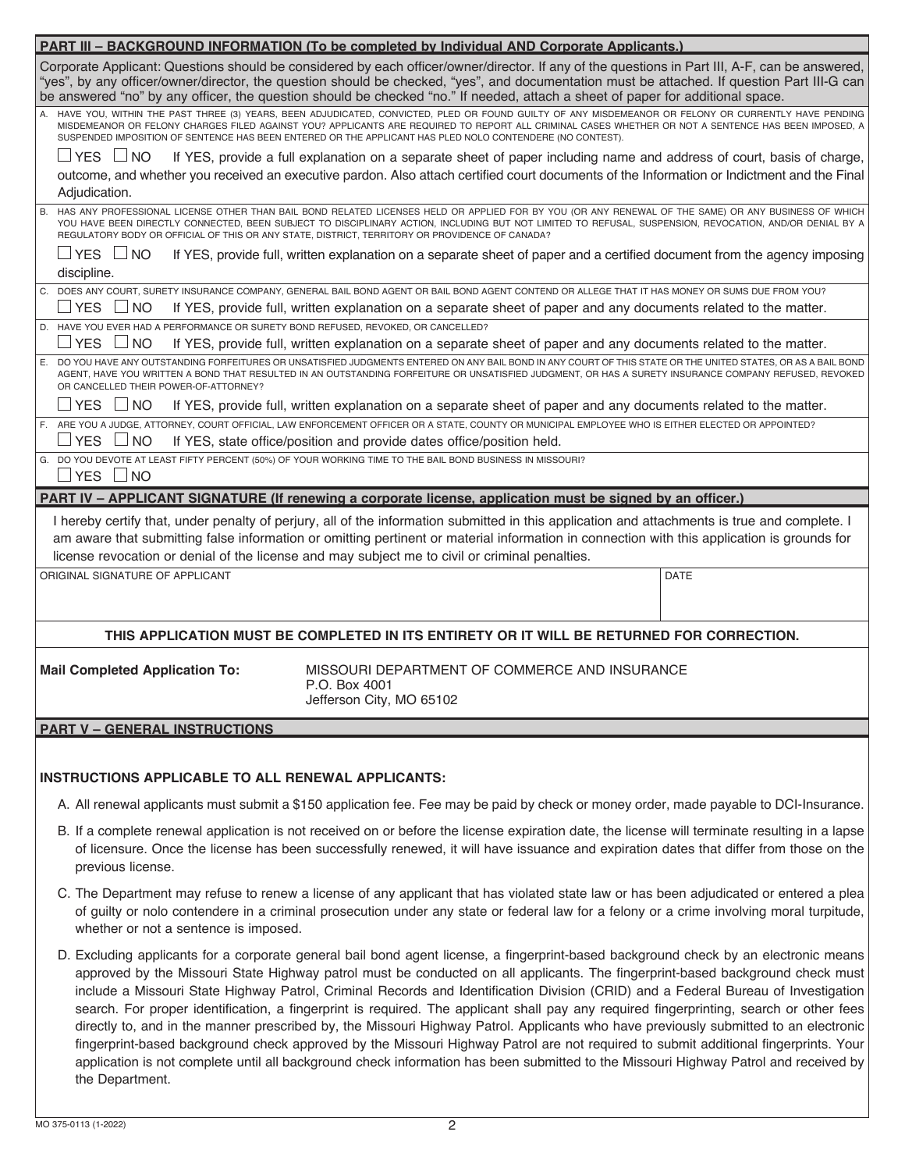| <b>PART III - BACKGROUND INFORMATION (To be completed by Individual AND Corporate Applicants.)</b> |                                                                                                                                                                                                                                                                                                                                                                                                                                                                                                                                                                                                                                                                                                                                                                                                                                                                                                                                                                                |             |  |  |  |  |  |
|----------------------------------------------------------------------------------------------------|--------------------------------------------------------------------------------------------------------------------------------------------------------------------------------------------------------------------------------------------------------------------------------------------------------------------------------------------------------------------------------------------------------------------------------------------------------------------------------------------------------------------------------------------------------------------------------------------------------------------------------------------------------------------------------------------------------------------------------------------------------------------------------------------------------------------------------------------------------------------------------------------------------------------------------------------------------------------------------|-------------|--|--|--|--|--|
|                                                                                                    | Corporate Applicant: Questions should be considered by each officer/owner/director. If any of the questions in Part III, A-F, can be answered,<br>"yes", by any officer/owner/director, the question should be checked, "yes", and documentation must be attached. If question Part III-G can<br>be answered "no" by any officer, the question should be checked "no." If needed, attach a sheet of paper for additional space.                                                                                                                                                                                                                                                                                                                                                                                                                                                                                                                                                |             |  |  |  |  |  |
|                                                                                                    | A. HAVE YOU, WITHIN THE PAST THREE (3) YEARS, BEEN ADJUDICATED, CONVICTED, PLED OR FOUND GUILTY OF ANY MISDEMEANOR OR FELONY OR CURRENTLY HAVE PENDING<br>MISDEMEANOR OR FELONY CHARGES FILED AGAINST YOU? APPLICANTS ARE REQUIRED TO REPORT ALL CRIMINAL CASES WHETHER OR NOT A SENTENCE HAS BEEN IMPOSED, A<br>SUSPENDED IMPOSITION OF SENTENCE HAS BEEN ENTERED OR THE APPLICANT HAS PLED NOLO CONTENDERE (NO CONTEST).                                                                                                                                                                                                                                                                                                                                                                                                                                                                                                                                                     |             |  |  |  |  |  |
| $\Box$ YES $\Box$ NO<br>Adjudication.                                                              | If YES, provide a full explanation on a separate sheet of paper including name and address of court, basis of charge,<br>outcome, and whether you received an executive pardon. Also attach certified court documents of the Information or Indictment and the Final                                                                                                                                                                                                                                                                                                                                                                                                                                                                                                                                                                                                                                                                                                           |             |  |  |  |  |  |
|                                                                                                    | B. HAS ANY PROFESSIONAL LICENSE OTHER THAN BAIL BOND RELATED LICENSES HELD OR APPLIED FOR BY YOU (OR ANY RENEWAL OF THE SAME) OR ANY BUSINESS OF WHICH<br>YOU HAVE BEEN DIRECTLY CONNECTED, BEEN SUBJECT TO DISCIPLINARY ACTION, INCLUDING BUT NOT LIMITED TO REFUSAL, SUSPENSION, REVOCATION, AND/OR DENIAL BY A<br>REGULATORY BODY OR OFFICIAL OF THIS OR ANY STATE, DISTRICT, TERRITORY OR PROVIDENCE OF CANADA?                                                                                                                                                                                                                                                                                                                                                                                                                                                                                                                                                            |             |  |  |  |  |  |
| ∐YES ∐NO<br>discipline.                                                                            | If YES, provide full, written explanation on a separate sheet of paper and a certified document from the agency imposing                                                                                                                                                                                                                                                                                                                                                                                                                                                                                                                                                                                                                                                                                                                                                                                                                                                       |             |  |  |  |  |  |
| $\sqcup$ YES<br><b>NO</b>                                                                          | C. DOES ANY COURT, SURETY INSURANCE COMPANY, GENERAL BAIL BOND AGENT OR BAIL BOND AGENT CONTEND OR ALLEGE THAT IT HAS MONEY OR SUMS DUE FROM YOU?<br>If YES, provide full, written explanation on a separate sheet of paper and any documents related to the matter.                                                                                                                                                                                                                                                                                                                                                                                                                                                                                                                                                                                                                                                                                                           |             |  |  |  |  |  |
| D. HAVE YOU EVER HAD A PERFORMANCE OR SURETY BOND REFUSED, REVOKED, OR CANCELLED?                  |                                                                                                                                                                                                                                                                                                                                                                                                                                                                                                                                                                                                                                                                                                                                                                                                                                                                                                                                                                                |             |  |  |  |  |  |
| J YES∣<br>l NO                                                                                     | If YES, provide full, written explanation on a separate sheet of paper and any documents related to the matter.                                                                                                                                                                                                                                                                                                                                                                                                                                                                                                                                                                                                                                                                                                                                                                                                                                                                |             |  |  |  |  |  |
| OR CANCELLED THEIR POWER-OF-ATTORNEY?                                                              | E. DO YOU HAVE ANY OUTSTANDING FORFEITURES OR UNSATISFIED JUDGMENTS ENTERED ON ANY BAIL BOND IN ANY COURT OF THIS STATE OR THE UNITED STATES, OR AS A BAIL BOND<br>AGENT, HAVE YOU WRITTEN A BOND THAT RESULTED IN AN OUTSTANDING FORFEITURE OR UNSATISFIED JUDGMENT, OR HAS A SURETY INSURANCE COMPANY REFUSED, REVOKED                                                                                                                                                                                                                                                                                                                                                                                                                                                                                                                                                                                                                                                       |             |  |  |  |  |  |
| $\sqcup$ YES<br>$\Box$ NO                                                                          | If YES, provide full, written explanation on a separate sheet of paper and any documents related to the matter.                                                                                                                                                                                                                                                                                                                                                                                                                                                                                                                                                                                                                                                                                                                                                                                                                                                                |             |  |  |  |  |  |
| $\sqcup$ YES<br>$\Box$ NO                                                                          | F. ARE YOU A JUDGE, ATTORNEY, COURT OFFICIAL, LAW ENFORCEMENT OFFICER OR A STATE, COUNTY OR MUNICIPAL EMPLOYEE WHO IS EITHER ELECTED OR APPOINTED?<br>If YES, state office/position and provide dates office/position held.                                                                                                                                                                                                                                                                                                                                                                                                                                                                                                                                                                                                                                                                                                                                                    |             |  |  |  |  |  |
| □YES □NO                                                                                           | G. DO YOU DEVOTE AT LEAST FIFTY PERCENT (50%) OF YOUR WORKING TIME TO THE BAIL BOND BUSINESS IN MISSOURI?                                                                                                                                                                                                                                                                                                                                                                                                                                                                                                                                                                                                                                                                                                                                                                                                                                                                      |             |  |  |  |  |  |
|                                                                                                    | PART IV – APPLICANT SIGNATURE (If renewing a corporate license, application must be signed by an officer.)                                                                                                                                                                                                                                                                                                                                                                                                                                                                                                                                                                                                                                                                                                                                                                                                                                                                     |             |  |  |  |  |  |
|                                                                                                    | I hereby certify that, under penalty of perjury, all of the information submitted in this application and attachments is true and complete. I<br>am aware that submitting false information or omitting pertinent or material information in connection with this application is grounds for<br>license revocation or denial of the license and may subject me to civil or criminal penalties.                                                                                                                                                                                                                                                                                                                                                                                                                                                                                                                                                                                 |             |  |  |  |  |  |
| ORIGINAL SIGNATURE OF APPLICANT                                                                    |                                                                                                                                                                                                                                                                                                                                                                                                                                                                                                                                                                                                                                                                                                                                                                                                                                                                                                                                                                                | <b>DATE</b> |  |  |  |  |  |
|                                                                                                    | THIS APPLICATION MUST BE COMPLETED IN ITS ENTIRETY OR IT WILL BE RETURNED FOR CORRECTION.                                                                                                                                                                                                                                                                                                                                                                                                                                                                                                                                                                                                                                                                                                                                                                                                                                                                                      |             |  |  |  |  |  |
| <b>Mail Completed Application To:</b>                                                              | MISSOURI DEPARTMENT OF COMMERCE AND INSURANCE<br>P.O. Box 4001<br>Jefferson City, MO 65102                                                                                                                                                                                                                                                                                                                                                                                                                                                                                                                                                                                                                                                                                                                                                                                                                                                                                     |             |  |  |  |  |  |
|                                                                                                    |                                                                                                                                                                                                                                                                                                                                                                                                                                                                                                                                                                                                                                                                                                                                                                                                                                                                                                                                                                                |             |  |  |  |  |  |
| <b>PART V - GENERAL INSTRUCTIONS</b>                                                               |                                                                                                                                                                                                                                                                                                                                                                                                                                                                                                                                                                                                                                                                                                                                                                                                                                                                                                                                                                                |             |  |  |  |  |  |
| <b>INSTRUCTIONS APPLICABLE TO ALL RENEWAL APPLICANTS:</b>                                          |                                                                                                                                                                                                                                                                                                                                                                                                                                                                                                                                                                                                                                                                                                                                                                                                                                                                                                                                                                                |             |  |  |  |  |  |
|                                                                                                    | A. All renewal applicants must submit a \$150 application fee. Fee may be paid by check or money order, made payable to DCI-Insurance.                                                                                                                                                                                                                                                                                                                                                                                                                                                                                                                                                                                                                                                                                                                                                                                                                                         |             |  |  |  |  |  |
| previous license.                                                                                  | B. If a complete renewal application is not received on or before the license expiration date, the license will terminate resulting in a lapse<br>of licensure. Once the license has been successfully renewed, it will have issuance and expiration dates that differ from those on the                                                                                                                                                                                                                                                                                                                                                                                                                                                                                                                                                                                                                                                                                       |             |  |  |  |  |  |
| whether or not a sentence is imposed.                                                              | C. The Department may refuse to renew a license of any applicant that has violated state law or has been adjudicated or entered a plea<br>of guilty or nolo contendere in a criminal prosecution under any state or federal law for a felony or a crime involving moral turpitude,                                                                                                                                                                                                                                                                                                                                                                                                                                                                                                                                                                                                                                                                                             |             |  |  |  |  |  |
| the Department.                                                                                    | D. Excluding applicants for a corporate general bail bond agent license, a fingerprint-based background check by an electronic means<br>approved by the Missouri State Highway patrol must be conducted on all applicants. The fingerprint-based background check must<br>include a Missouri State Highway Patrol, Criminal Records and Identification Division (CRID) and a Federal Bureau of Investigation<br>search. For proper identification, a fingerprint is required. The applicant shall pay any required fingerprinting, search or other fees<br>directly to, and in the manner prescribed by, the Missouri Highway Patrol. Applicants who have previously submitted to an electronic<br>fingerprint-based background check approved by the Missouri Highway Patrol are not required to submit additional fingerprints. Your<br>application is not complete until all background check information has been submitted to the Missouri Highway Patrol and received by |             |  |  |  |  |  |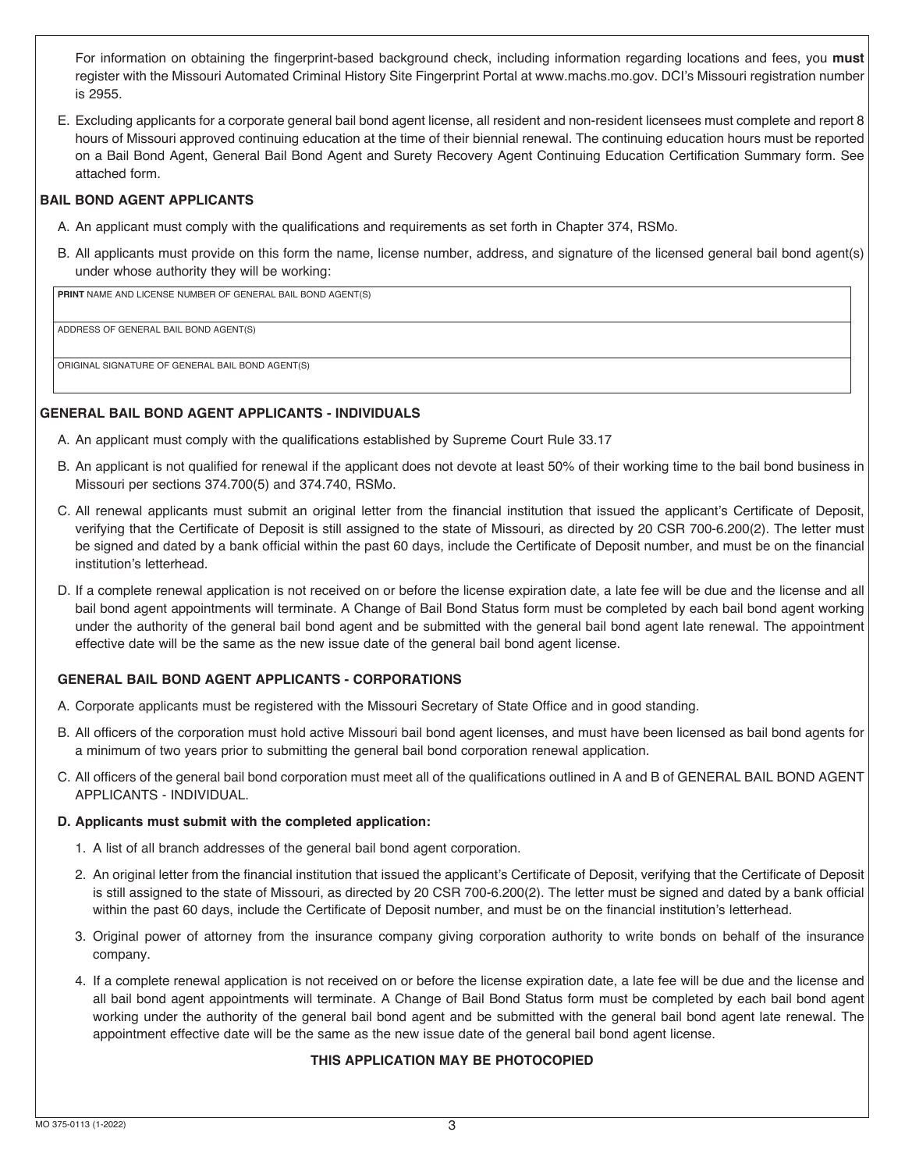For information on obtaining the fingerprint-based background check, including information regarding locations and fees, you must register with the Missouri Automated Criminal History Site Fingerprint Portal at www.machs.mo.gov. DCI's Missouri registration number is 2955.

E. Excluding applicants for a corporate general bail bond agent license, all resident and non-resident licensees must complete and report 8 hours of Missouri approved continuing education at the time of their biennial renewal. The continuing education hours must be reported on a Bail Bond Agent, General Bail Bond Agent and Surety Recovery Agent Continuing Education Certification Summary form. See attached form.

## **BAIL BOND AGENT APPLICANTS**

- A. An applicant must comply with the qualifications and requirements as set forth in Chapter 374, RSMo.
- B. All applicants must provide on this form the name, license number, address, and signature of the licensed general bail bond agent(s) under whose authority they will be working:

**PRINT** NAME AND LICENSE NUMBER OF GENERAL BAIL BOND AGENT(S)

ADDRESS OF GENERAL BAIL BOND AGENT(S)

ORIGINAL SIGNATURE OF GENERAL BAIL BOND AGENT(S)

## **GENERAL BAIL BOND AGENT APPLICANTS - INDIVIDUALS**

- A. An applicant must comply with the qualifications established by Supreme Court Rule 33.17
- B. An applicant is not qualified for renewal if the applicant does not devote at least 50% of their working time to the bail bond business in Missouri per sections 374.700(5) and 374.740, RSMo.
- C. All renewal applicants must submit an original letter from the financial institution that issued the applicant's Certificate of Deposit, verifying that the Certificate of Deposit is still assigned to the state of Missouri, as directed by 20 CSR 700-6.200(2). The letter must be signed and dated by a bank official within the past 60 days, include the Certificate of Deposit number, and must be on the financial institution's letterhead.
- D. If a complete renewal application is not received on or before the license expiration date, a late fee will be due and the license and all bail bond agent appointments will terminate. A Change of Bail Bond Status form must be completed by each bail bond agent working under the authority of the general bail bond agent and be submitted with the general bail bond agent late renewal. The appointment effective date will be the same as the new issue date of the general bail bond agent license.

## **GENERAL BAIL BOND AGENT APPLICANTS - CORPORATIONS**

- A. Corporate applicants must be registered with the Missouri Secretary of State Office and in good standing.
- B. All officers of the corporation must hold active Missouri bail bond agent licenses, and must have been licensed as bail bond agents for a minimum of two years prior to submitting the general bail bond corporation renewal application.
- C. All officers of the general bail bond corporation must meet all of the qualifications outlined in A and B of GENERAL BAIL BOND AGENT APPLICANTS - INDIVIDUAL.

## D. Applicants must submit with the completed application:

- 1. A list of all branch addresses of the general bail bond agent corporation.
- 2. An original letter from the financial institution that issued the applicant's Certificate of Deposit, verifying that the Certificate of Deposit is still assigned to the state of Missouri, as directed by 20 CSR 700-6.200(2). The letter must be signed and dated by a bank official within the past 60 days, include the Certificate of Deposit number, and must be on the financial institution's letterhead.
- 3. Original power of attorney from the insurance company giving corporation authority to write bonds on behalf of the insurance company.
- 4. If a complete renewal application is not received on or before the license expiration date, a late fee will be due and the license and all bail bond agent appointments will terminate. A Change of Bail Bond Status form must be completed by each bail bond agent working under the authority of the general bail bond agent and be submitted with the general bail bond agent late renewal. The appointment effective date will be the same as the new issue date of the general bail bond agent license.

# **THIS APPLICATION MAY BE PHOTOCOPIED**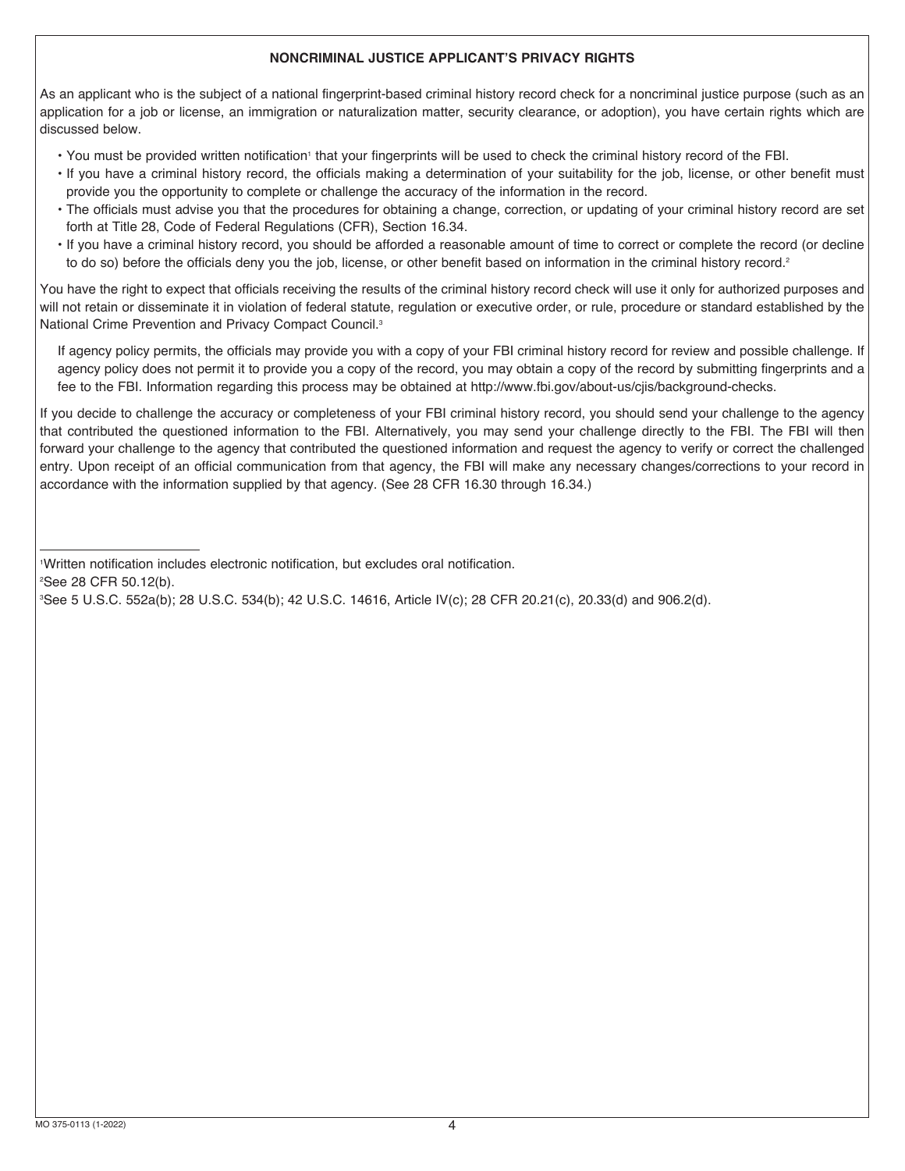## **NONCRIMINAL JUSTICE APPLICANT'S PRIVACY RIGHTS**

As an applicant who is the subject of a national fingerprint-based criminal history record check for a noncriminal justice purpose (such as an application for a job or license, an immigration or naturalization matter, security clearance, or adoption), you have certain rights which are discussed below.

- You must be provided written notification' that your fingerprints will be used to check the criminal history record of the FBI.
	- If you have a criminal history record, the officials making a determination of your suitability for the job, license, or other benefit must provide you the opportunity to complete or challenge the accuracy of the information in the record.
	- The officials must advise you that the procedures for obtaining a change, correction, or updating of your criminal history record are set forth at Title 28, Code of Federal Regulations (CFR), Section 16.34.
	- If you have a criminal history record, you should be afforded a reasonable amount of time to correct or complete the record (or decline to do so) before the officials deny you the job, license, or other benefit based on information in the criminal history record.<sup>2</sup>

You have the right to expect that officials receiving the results of the criminal history record check will use it only for authorized purposes and will not retain or disseminate it in violation of federal statute, regulation or executive order, or rule, procedure or standard established by the National Crime Prevention and Privacy Compact Council.3

 If agency policy permits, the officials may provide you with a copy of your FBI criminal history record for review and possible challenge. If agency policy does not permit it to provide you a copy of the record, you may obtain a copy of the record by submitting fingerprints and a fee to the FBI. Information regarding this process may be obtained at http://www.fbi.gov/about-us/cjis/background-checks.

If you decide to challenge the accuracy or completeness of your FBI criminal history record, you should send your challenge to the agency that contributed the questioned information to the FBI. Alternatively, you may send your challenge directly to the FBI. The FBI will then forward your challenge to the agency that contributed the questioned information and request the agency to verify or correct the challenged entry. Upon receipt of an official communication from that agency, the FBI will make any necessary changes/corrections to your record in accordance with the information supplied by that agency. (See 28 CFR 16.30 through 16.34.)

1 Written notification includes electronic notification, but excludes oral notification.

2 See 28 CFR 50.12(b).

3 See 5 U.S.C. 552a(b); 28 U.S.C. 534(b); 42 U.S.C. 14616, Article IV(c); 28 CFR 20.21(c), 20.33(d) and 906.2(d).